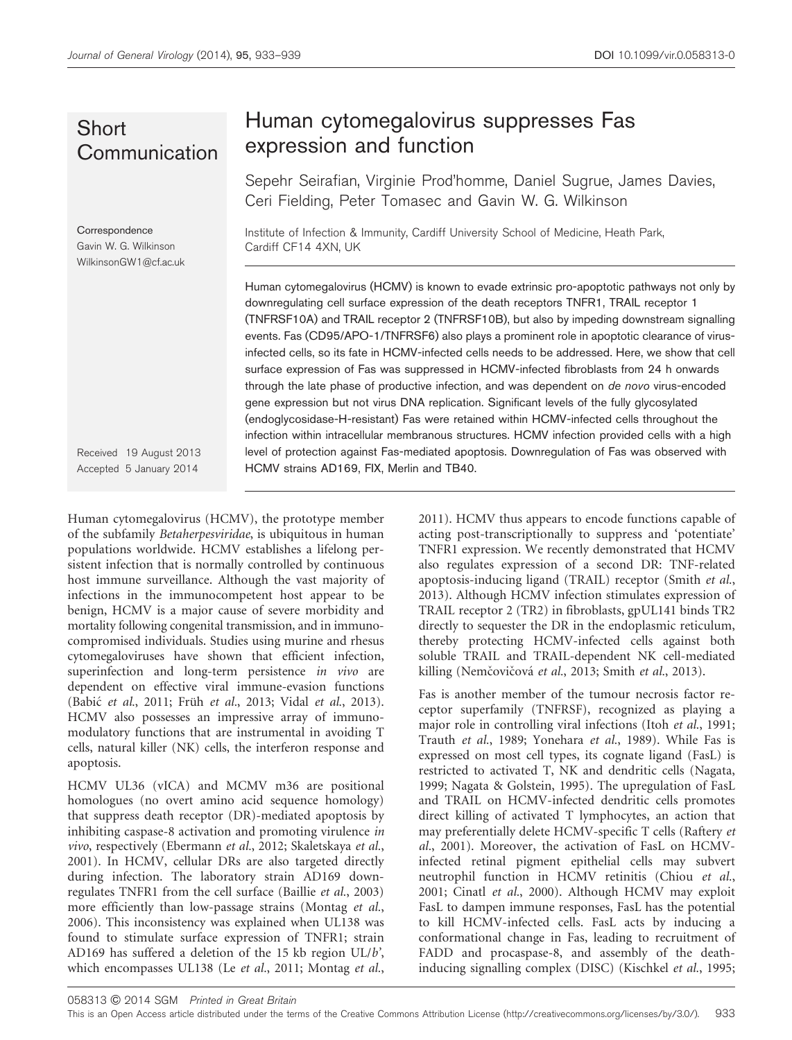## **Short Communication**

Correspondence Gavin W. G. Wilkinson WilkinsonGW1@cf.ac.uk expression and function Sepehr Seirafian, Virginie Prod'homme, Daniel Sugrue, James Davies,

Ceri Fielding, Peter Tomasec and Gavin W. G. Wilkinson

Human cytomegalovirus suppresses Fas

Institute of Infection & Immunity, Cardiff University School of Medicine, Heath Park, Cardiff CF14 4XN, UK

Human cytomegalovirus (HCMV) is known to evade extrinsic pro-apoptotic pathways not only by downregulating cell surface expression of the death receptors TNFR1, TRAIL receptor 1 (TNFRSF10A) and TRAIL receptor 2 (TNFRSF10B), but also by impeding downstream signalling events. Fas (CD95/APO-1/TNFRSF6) also plays a prominent role in apoptotic clearance of virusinfected cells, so its fate in HCMV-infected cells needs to be addressed. Here, we show that cell surface expression of Fas was suppressed in HCMV-infected fibroblasts from 24 h onwards through the late phase of productive infection, and was dependent on de novo virus-encoded gene expression but not virus DNA replication. Significant levels of the fully glycosylated (endoglycosidase-H-resistant) Fas were retained within HCMV-infected cells throughout the infection within intracellular membranous structures. HCMV infection provided cells with a high level of protection against Fas-mediated apoptosis. Downregulation of Fas was observed with HCMV strains AD169, FIX, Merlin and TB40.

Received 19 August 2013 Accepted 5 January 2014

Human cytomegalovirus (HCMV), the prototype member of the subfamily Betaherpesviridae, is ubiquitous in human populations worldwide. HCMV establishes a lifelong persistent infection that is normally controlled by continuous host immune surveillance. Although the vast majority of infections in the immunocompetent host appear to be benign, HCMV is a major cause of severe morbidity and mortality following congenital transmission, and in immunocompromised individuals. Studies using murine and rhesus cytomegaloviruses have shown that efficient infection, superinfection and long-term persistence in vivo are dependent on effective viral immune-evasion functions (Babić et al.[, 2011](#page-4-0); Früh et al.[, 2013;](#page-5-0) Vidal et al.[, 2013\)](#page-6-0). HCMV also possesses an impressive array of immunomodulatory functions that are instrumental in avoiding T cells, natural killer (NK) cells, the interferon response and apoptosis.

HCMV UL36 (vICA) and MCMV m36 are positional homologues (no overt amino acid sequence homology) that suppress death receptor (DR)-mediated apoptosis by inhibiting caspase-8 activation and promoting virulence in vivo, respectively [\(Ebermann](#page-4-0) et al., 2012; [Skaletskaya](#page-5-0) et al., [2001\)](#page-5-0). In HCMV, cellular DRs are also targeted directly during infection. The laboratory strain AD169 downregulates TNFR1 from the cell surface (Baillie et al.[, 2003](#page-4-0)) more efficiently than low-passage strains ([Montag](#page-5-0) et al., [2006\)](#page-5-0). This inconsistency was explained when UL138 was found to stimulate surface expression of TNFR1; strain AD169 has suffered a deletion of the 15 kb region UL/b', which encompasses UL138 (Le et al.[, 2011; Montag](#page-5-0) et al.,

[2011\)](#page-5-0). HCMV thus appears to encode functions capable of acting post-transcriptionally to suppress and 'potentiate' TNFR1 expression. We recently demonstrated that HCMV also regulates expression of a second DR: TNF-related apoptosis-inducing ligand (TRAIL) receptor ([Smith](#page-5-0) et al., [2013\)](#page-5-0). Although HCMV infection stimulates expression of TRAIL receptor 2 (TR2) in fibroblasts, gpUL141 binds TR2 directly to sequester the DR in the endoplasmic reticulum, thereby protecting HCMV-infected cells against both soluble TRAIL and TRAIL-dependent NK cell-mediated killing (Nemčovičová et al., 2013; Smith et al.[, 2013\)](#page-5-0).

Fas is another member of the tumour necrosis factor receptor superfamily (TNFRSF), recognized as playing a major role in controlling viral infections (Itoh et al.[, 1991;](#page-5-0) [Trauth](#page-5-0) et al., 1989; [Yonehara](#page-6-0) et al., 1989). While Fas is expressed on most cell types, its cognate ligand (FasL) is restricted to activated T, NK and dendritic cells [\(Nagata,](#page-5-0) [1999; Nagata & Golstein, 1995\)](#page-5-0). The upregulation of FasL and TRAIL on HCMV-infected dendritic cells promotes direct killing of activated T lymphocytes, an action that may preferentially delete HCMV-specific T cells [\(Raftery](#page-5-0) et al.[, 2001\)](#page-5-0). Moreover, the activation of FasL on HCMVinfected retinal pigment epithelial cells may subvert neutrophil function in HCMV retinitis [\(Chiou](#page-4-0) et al., [2001;](#page-4-0) Cinatl et al.[, 2000\)](#page-4-0). Although HCMV may exploit FasL to dampen immune responses, FasL has the potential to kill HCMV-infected cells. FasL acts by inducing a conformational change in Fas, leading to recruitment of FADD and procaspase-8, and assembly of the death-inducing signalling complex (DISC) [\(Kischkel](#page-5-0) et al., 1995;

058313 C 2014 SGM Printed in Great Britain

This is an Open Access article distributed under the terms of the Creative Commons Attribution License ([http://creativecommons.org/licenses/by/3.0/](http://creativecommons.org/licenses/by/3.0)). 933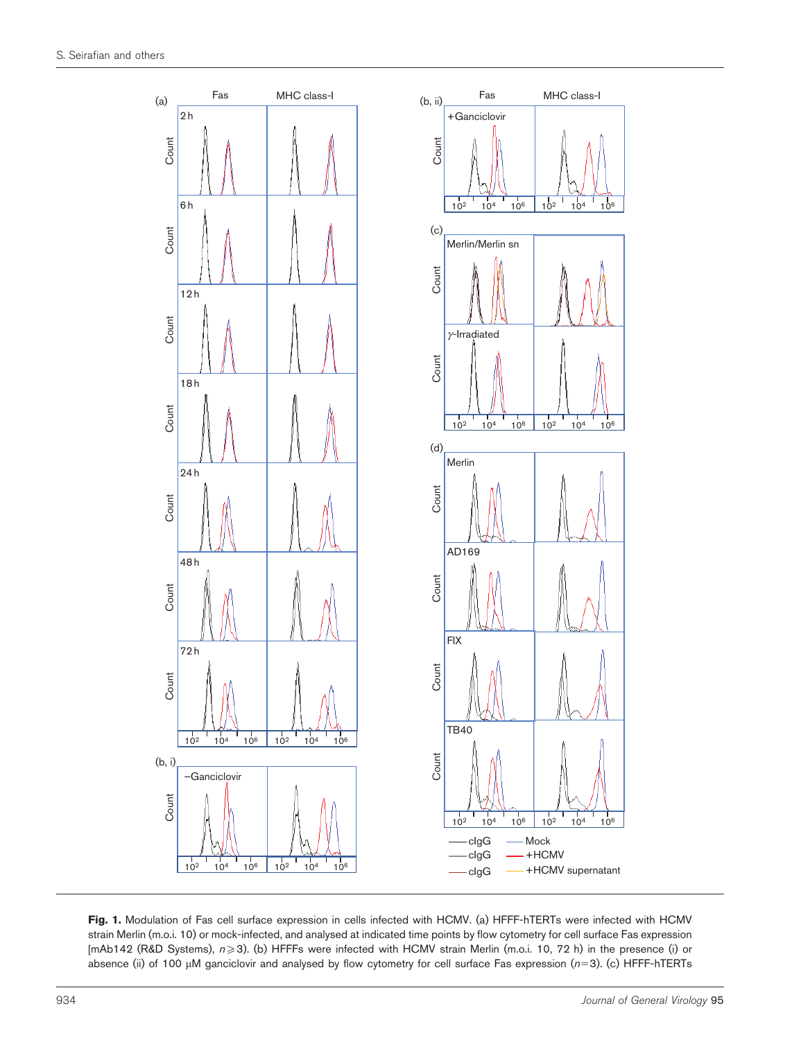<span id="page-1-0"></span>

Fig. 1. Modulation of Fas cell surface expression in cells infected with HCMV. (a) HFFF-hTERTs were infected with HCMV strain Merlin (m.o.i. 10) or mock-infected, and analysed at indicated time points by flow cytometry for cell surface Fas expression [mAb142 (R&D Systems),  $n \ge 3$ ). (b) HFFFs were infected with HCMV strain Merlin (m.o.i. 10, 72 h) in the presence (i) or absence (ii) of 100  $\mu$ M ganciclovir and analysed by flow cytometry for cell surface Fas expression ( $n=3$ ). (c) HFFF-hTERTs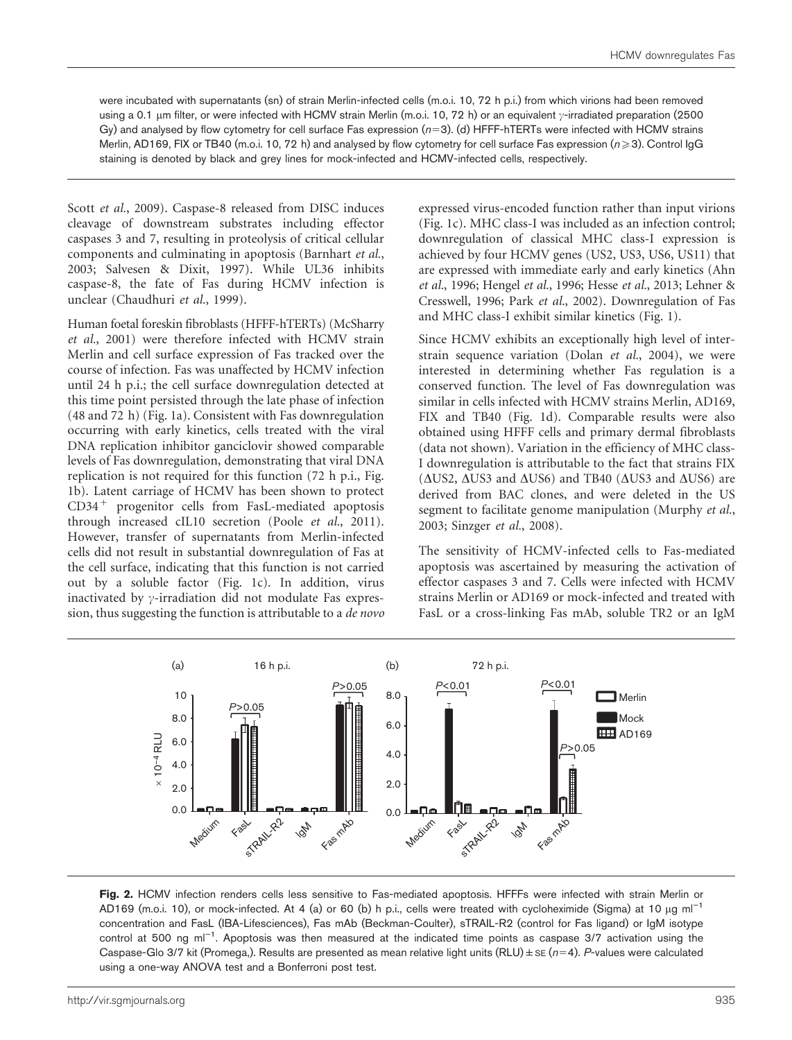<span id="page-2-0"></span>were incubated with supernatants (sn) of strain Merlin-infected cells (m.o.i. 10, 72 h p.i.) from which virions had been removed using a 0.1 µm filter, or were infected with HCMV strain Merlin (m.o.i. 10, 72 h) or an equivalent  $\gamma$ -irradiated preparation (2500 Gy) and analysed by flow cytometry for cell surface Fas expression  $(n=3)$ . (d) HFFF-hTERTs were infected with HCMV strains Merlin, AD169, FIX or TB40 (m.o.i. 10, 72 h) and analysed by flow cytometry for cell surface Fas expression ( $n \ge 3$ ). Control IgG staining is denoted by black and grey lines for mock-infected and HCMV-infected cells, respectively.

Scott et al.[, 2009](#page-5-0)). Caspase-8 released from DISC induces cleavage of downstream substrates including effector caspases 3 and 7, resulting in proteolysis of critical cellular components and culminating in apoptosis ([Barnhart](#page-4-0) et al., [2003;](#page-4-0) [Salvesen & Dixit, 1997](#page-5-0)). While UL36 inhibits caspase-8, the fate of Fas during HCMV infection is unclear ([Chaudhuri](#page-4-0) et al., 1999).

Human foetal foreskin fibroblasts (HFFF-hTERTs) [\(McSharry](#page-5-0) et al.[, 2001\)](#page-5-0) were therefore infected with HCMV strain Merlin and cell surface expression of Fas tracked over the course of infection. Fas was unaffected by HCMV infection until 24 h p.i.; the cell surface downregulation detected at this time point persisted through the late phase of infection (48 and 72 h) [\(Fig. 1a](#page-1-0)). Consistent with Fas downregulation occurring with early kinetics, cells treated with the viral DNA replication inhibitor ganciclovir showed comparable levels of Fas downregulation, demonstrating that viral DNA replication is not required for this function (72 h p.i., [Fig.](#page-1-0) [1b\)](#page-1-0). Latent carriage of HCMV has been shown to protect CD34<sup>+</sup> progenitor cells from FasL-mediated apoptosis through increased cIL10 secretion (Poole et al.[, 2011\)](#page-5-0). However, transfer of supernatants from Merlin-infected cells did not result in substantial downregulation of Fas at the cell surface, indicating that this function is not carried out by a soluble factor [\(Fig. 1c\)](#page-1-0). In addition, virus inactivated by  $\gamma$ -irradiation did not modulate Fas expression, thus suggesting the function is attributable to a de novo

expressed virus-encoded function rather than input virions ([Fig. 1c\)](#page-1-0). MHC class-I was included as an infection control; downregulation of classical MHC class-I expression is achieved by four HCMV genes (US2, US3, US6, US11) that are expressed with immediate early and early kinetics ([Ahn](#page-4-0) et al.[, 1996;](#page-4-0) [Hengel](#page-5-0) et al., 1996; Hesse et al.[, 2013; Lehner &](#page-5-0) [Cresswell, 1996;](#page-5-0) Park et al.[, 2002\)](#page-5-0). Downregulation of Fas and MHC class-I exhibit similar kinetics [\(Fig. 1](#page-1-0)).

Since HCMV exhibits an exceptionally high level of interstrain sequence variation (Dolan et al.[, 2004\)](#page-4-0), we were interested in determining whether Fas regulation is a conserved function. The level of Fas downregulation was similar in cells infected with HCMV strains Merlin, AD169, FIX and TB40 ([Fig. 1d\)](#page-1-0). Comparable results were also obtained using HFFF cells and primary dermal fibroblasts (data not shown). Variation in the efficiency of MHC class-I downregulation is attributable to the fact that strains FIX ( $\Delta$ US2,  $\Delta$ US3 and  $\Delta$ US6) and TB40 ( $\Delta$ US3 and  $\Delta$ US6) are derived from BAC clones, and were deleted in the US segment to facilitate genome manipulation [\(Murphy](#page-5-0) et al., [2003; Sinzger](#page-5-0) et al., 2008).

The sensitivity of HCMV-infected cells to Fas-mediated apoptosis was ascertained by measuring the activation of effector caspases 3 and 7. Cells were infected with HCMV strains Merlin or AD169 or mock-infected and treated with FasL or a cross-linking Fas mAb, soluble TR2 or an IgM



Fig. 2. HCMV infection renders cells less sensitive to Fas-mediated apoptosis. HFFFs were infected with strain Merlin or AD169 (m.o.i. 10), or mock-infected. At 4 (a) or 60 (b) h p.i., cells were treated with cycloheximide (Sigma) at 10  $\mu$ g ml<sup>-1</sup> concentration and FasL (IBA-Lifesciences), Fas mAb (Beckman-Coulter), sTRAIL-R2 (control for Fas ligand) or IgM isotype control at 500 ng ml<sup>-1</sup>. Apoptosis was then measured at the indicated time points as caspase 3/7 activation using the Caspase-Glo 3/7 kit (Promega,). Results are presented as mean relative light units (RLU)  $\pm$  SE (n=4). P-values were calculated using a one-way ANOVA test and a Bonferroni post test.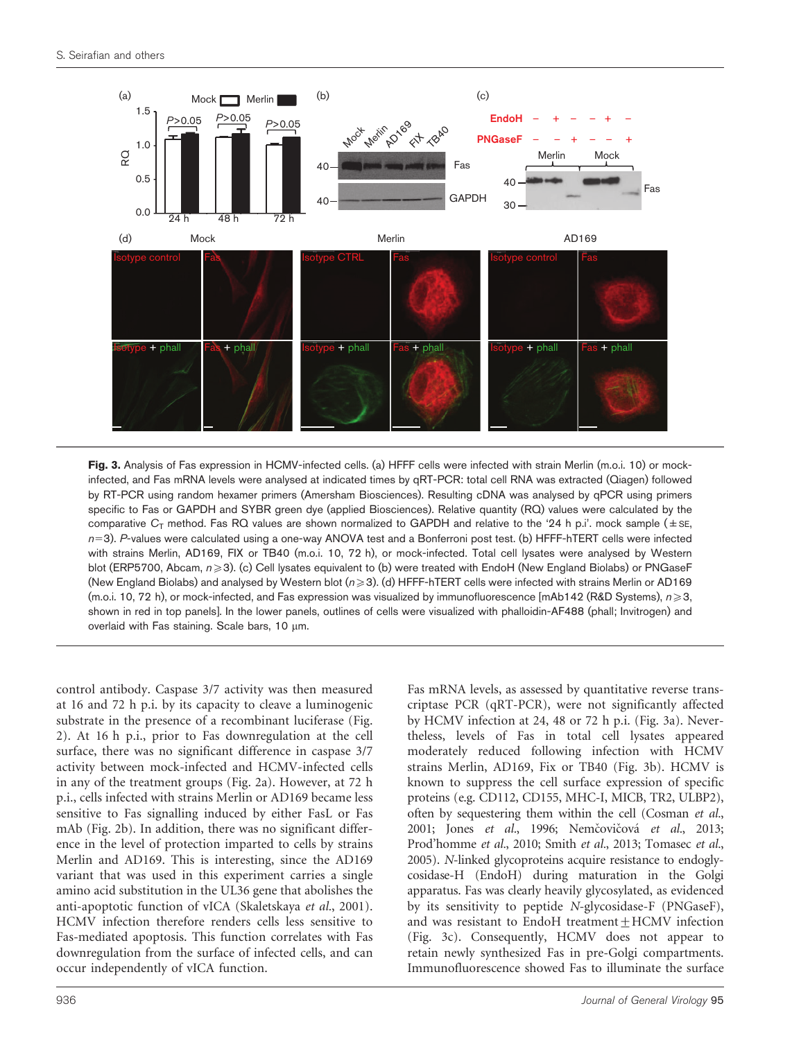<span id="page-3-0"></span>

Fig. 3. Analysis of Fas expression in HCMV-infected cells. (a) HFFF cells were infected with strain Merlin (m.o.i. 10) or mockinfected, and Fas mRNA levels were analysed at indicated times by qRT-PCR: total cell RNA was extracted (Qiagen) followed by RT-PCR using random hexamer primers (Amersham Biosciences). Resulting cDNA was analysed by qPCR using primers specific to Fas or GAPDH and SYBR green dye (applied Biosciences). Relative quantity (RQ) values were calculated by the comparative  $C_T$  method. Fas RQ values are shown normalized to GAPDH and relative to the '24 h p.i', mock sample ( $\pm$ sE,  $n=3$ ). P-values were calculated using a one-way ANOVA test and a Bonferroni post test. (b) HFFF-hTERT cells were infected with strains Merlin, AD169, FIX or TB40 (m.o.i. 10, 72 h), or mock-infected. Total cell lysates were analysed by Western blot (ERP5700, Abcam,  $n \ge 3$ ). (c) Cell lysates equivalent to (b) were treated with EndoH (New England Biolabs) or PNGaseF (New England Biolabs) and analysed by Western blot ( $n \ge 3$ ). (d) HFFF-hTERT cells were infected with strains Merlin or AD169 (m.o.i. 10, 72 h), or mock-infected, and Fas expression was visualized by immunofluorescence [mAb142 (R&D Systems),  $n \ge 3$ , shown in red in top panels]. In the lower panels, outlines of cells were visualized with phalloidin-AF488 (phall; Invitrogen) and overlaid with Fas staining. Scale bars,  $10 \mu m$ .

control antibody. Caspase 3/7 activity was then measured at 16 and 72 h p.i. by its capacity to cleave a luminogenic substrate in the presence of a recombinant luciferase ([Fig.](#page-2-0) [2](#page-2-0)). At 16 h p.i., prior to Fas downregulation at the cell surface, there was no significant difference in caspase 3/7 activity between mock-infected and HCMV-infected cells in any of the treatment groups [\(Fig. 2a](#page-2-0)). However, at 72 h p.i., cells infected with strains Merlin or AD169 became less sensitive to Fas signalling induced by either FasL or Fas mAb ([Fig. 2b](#page-2-0)). In addition, there was no significant difference in the level of protection imparted to cells by strains Merlin and AD169. This is interesting, since the AD169 variant that was used in this experiment carries a single amino acid substitution in the UL36 gene that abolishes the anti-apoptotic function of vICA ([Skaletskaya](#page-5-0) et al., 2001). HCMV infection therefore renders cells less sensitive to Fas-mediated apoptosis. This function correlates with Fas downregulation from the surface of infected cells, and can occur independently of vICA function.

Fas mRNA levels, as assessed by quantitative reverse transcriptase PCR (qRT-PCR), were not significantly affected by HCMV infection at 24, 48 or 72 h p.i. (Fig. 3a). Nevertheless, levels of Fas in total cell lysates appeared moderately reduced following infection with HCMV strains Merlin, AD169, Fix or TB40 (Fig. 3b). HCMV is known to suppress the cell surface expression of specific proteins (e.g. CD112, CD155, MHC-I, MICB, TR2, ULBP2), often by sequestering them within the cell ([Cosman](#page-4-0) et al., [2001;](#page-4-0) Jones et al.[, 1996](#page-5-0); Nemčovičová et al., 2013; [Prod'homme](#page-5-0) et al., 2010; Smith et al.[, 2013; Tomasec](#page-5-0) et al., [2005\)](#page-5-0). N-linked glycoproteins acquire resistance to endoglycosidase-H (EndoH) during maturation in the Golgi apparatus. Fas was clearly heavily glycosylated, as evidenced by its sensitivity to peptide N-glycosidase-F (PNGaseF), and was resistant to EndoH treatment $\pm$ HCMV infection (Fig. 3c). Consequently, HCMV does not appear to retain newly synthesized Fas in pre-Golgi compartments. Immunofluorescence showed Fas to illuminate the surface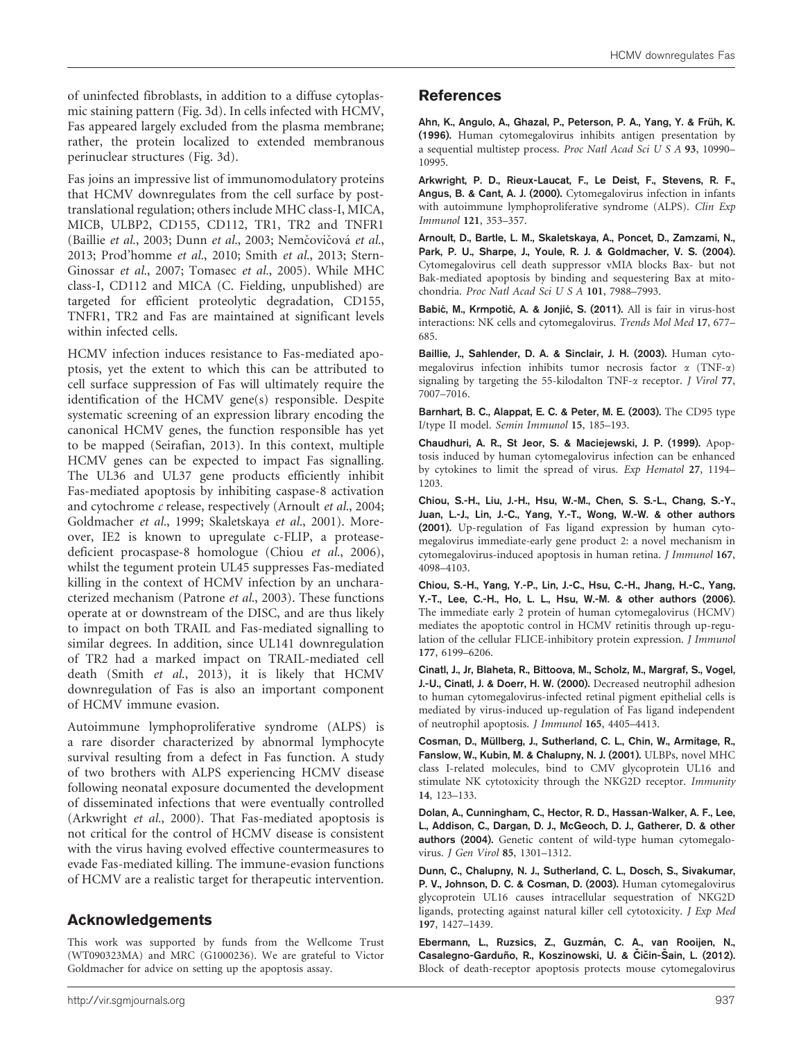<span id="page-4-0"></span>of uninfected fibroblasts, in addition to a diffuse cytoplasmic staining pattern [\(Fig. 3d](#page-3-0)). In cells infected with HCMV, Fas appeared largely excluded from the plasma membrane; rather, the protein localized to extended membranous perinuclear structures [\(Fig. 3d](#page-3-0)).

Fas joins an impressive list of immunomodulatory proteins that HCMV downregulates from the cell surface by posttranslational regulation; others include MHC class-I, MICA, MICB, ULBP2, CD155, CD112, TR1, TR2 and TNFR1 (Baillie et al., 2003; Dunn et al., 2003; Nemčovičová et al., [2013; Prod'homme](#page-5-0) et al., 2010; Smith et al.[, 2013](#page-5-0); [Stern-](#page-5-0)[Ginossar](#page-5-0) et al., 2007; [Tomasec](#page-5-0) et al., 2005). While MHC class-I, CD112 and MICA (C. Fielding, unpublished) are targeted for efficient proteolytic degradation, CD155, TNFR1, TR2 and Fas are maintained at significant levels within infected cells.

HCMV infection induces resistance to Fas-mediated apoptosis, yet the extent to which this can be attributed to cell surface suppression of Fas will ultimately require the identification of the HCMV gene(s) responsible. Despite systematic screening of an expression library encoding the canonical HCMV genes, the function responsible has yet to be mapped ([Seirafian, 2013](#page-5-0)). In this context, multiple HCMV genes can be expected to impact Fas signalling. The UL36 and UL37 gene products efficiently inhibit Fas-mediated apoptosis by inhibiting caspase-8 activation and cytochrome c release, respectively (Arnoult et al., 2004; [Goldmacher](#page-5-0) et al., 1999; [Skaletskaya](#page-5-0) et al., 2001). Moreover, IE2 is known to upregulate c-FLIP, a proteasedeficient procaspase-8 homologue (Chiou et al., 2006), whilst the tegument protein UL45 suppresses Fas-mediated killing in the context of HCMV infection by an uncharacterized mechanism ([Patrone](#page-5-0) et al., 2003). These functions operate at or downstream of the DISC, and are thus likely to impact on both TRAIL and Fas-mediated signalling to similar degrees. In addition, since UL141 downregulation of TR2 had a marked impact on TRAIL-mediated cell death (Smith et al.[, 2013\)](#page-5-0), it is likely that HCMV downregulation of Fas is also an important component of HCMV immune evasion.

Autoimmune lymphoproliferative syndrome (ALPS) is a rare disorder characterized by abnormal lymphocyte survival resulting from a defect in Fas function. A study of two brothers with ALPS experiencing HCMV disease following neonatal exposure documented the development of disseminated infections that were eventually controlled (Arkwright et al., 2000). That Fas-mediated apoptosis is not critical for the control of HCMV disease is consistent with the virus having evolved effective countermeasures to evade Fas-mediated killing. The immune-evasion functions of HCMV are a realistic target for therapeutic intervention.

## Acknowledgements

This work was supported by funds from the Wellcome Trust (WT090323MA) and MRC (G1000236). We are grateful to Victor Goldmacher for advice on setting up the apoptosis assay.

Ahn, K., Angulo, A., Ghazal, P., Peterson, P. A., Yang, Y. & Früh, K. (1996). Human cytomegalovirus inhibits antigen presentation by a sequential multistep process. Proc Natl Acad Sci U S A 93, 10990– 10995.

Arkwright, P. D., Rieux-Laucat, F., Le Deist, F., Stevens, R. F., Angus, B. & Cant, A. J. (2000). Cytomegalovirus infection in infants with autoimmune lymphoproliferative syndrome (ALPS). Clin Exp Immunol 121, 353–357.

Arnoult, D., Bartle, L. M., Skaletskaya, A., Poncet, D., Zamzami, N., Park, P. U., Sharpe, J., Youle, R. J. & Goldmacher, V. S. (2004). Cytomegalovirus cell death suppressor vMIA blocks Bax- but not Bak-mediated apoptosis by binding and sequestering Bax at mitochondria. Proc Natl Acad Sci U S A 101, 7988–7993.

Babić, M., Krmpotić, A. & Jonjić, S. (2011). All is fair in virus-host interactions: NK cells and cytomegalovirus. Trends Mol Med 17, 677– 685.

Baillie, J., Sahlender, D. A. & Sinclair, J. H. (2003). Human cytomegalovirus infection inhibits tumor necrosis factor  $\alpha$  (TNF- $\alpha$ ) signaling by targeting the 55-kilodalton TNF- $\alpha$  receptor. J Virol 77, 7007–7016.

Barnhart, B. C., Alappat, E. C. & Peter, M. E. (2003). The CD95 type I/type II model. Semin Immunol 15, 185–193.

Chaudhuri, A. R., St Jeor, S. & Maciejewski, J. P. (1999). Apoptosis induced by human cytomegalovirus infection can be enhanced by cytokines to limit the spread of virus. Exp Hematol 27, 1194– 1203.

Chiou, S.-H., Liu, J.-H., Hsu, W.-M., Chen, S. S.-L., Chang, S.-Y., Juan, L.-J., Lin, J.-C., Yang, Y.-T., Wong, W.-W. & other authors (2001). Up-regulation of Fas ligand expression by human cytomegalovirus immediate-early gene product 2: a novel mechanism in cytomegalovirus-induced apoptosis in human retina. J Immunol 167, 4098–4103.

Chiou, S.-H., Yang, Y.-P., Lin, J.-C., Hsu, C.-H., Jhang, H.-C., Yang, Y.-T., Lee, C.-H., Ho, L. L., Hsu, W.-M. & other authors (2006). The immediate early 2 protein of human cytomegalovirus (HCMV) mediates the apoptotic control in HCMV retinitis through up-regulation of the cellular FLICE-inhibitory protein expression. J Immunol 177, 6199–6206.

Cinatl, J., Jr, Blaheta, R., Bittoova, M., Scholz, M., Margraf, S., Vogel, J.-U., Cinatl, J. & Doerr, H. W. (2000). Decreased neutrophil adhesion to human cytomegalovirus-infected retinal pigment epithelial cells is mediated by virus-induced up-regulation of Fas ligand independent of neutrophil apoptosis. J Immunol 165, 4405–4413.

Cosman, D., Müllberg, J., Sutherland, C. L., Chin, W., Armitage, R., Fanslow, W., Kubin, M. & Chalupny, N. J. (2001). ULBPs, novel MHC class I-related molecules, bind to CMV glycoprotein UL16 and stimulate NK cytotoxicity through the NKG2D receptor. Immunity 14, 123–133.

Dolan, A., Cunningham, C., Hector, R. D., Hassan-Walker, A. F., Lee, L., Addison, C., Dargan, D. J., McGeoch, D. J., Gatherer, D. & other authors (2004). Genetic content of wild-type human cytomegalovirus. J Gen Virol 85, 1301–1312.

Dunn, C., Chalupny, N. J., Sutherland, C. L., Dosch, S., Sivakumar, P. V., Johnson, D. C. & Cosman, D. (2003). Human cytomegalovirus glycoprotein UL16 causes intracellular sequestration of NKG2D ligands, protecting against natural killer cell cytotoxicity. J Exp Med 197, 1427–1439.

Ebermann, L., Ruzsics, Z., Guzmán, C. A., van Rooijen, N., Casalegno-Garduño, R., Koszinowski, U. & Cičin-Sain, L. (2012). Block of death-receptor apoptosis protects mouse cytomegalovirus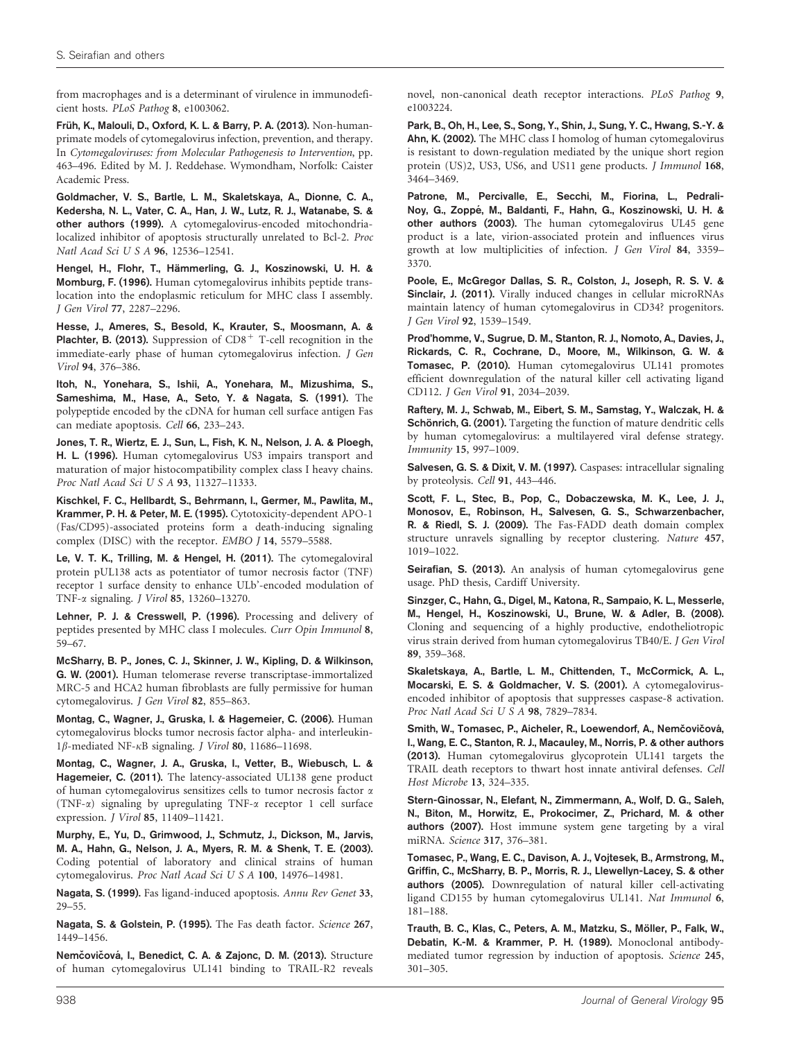<span id="page-5-0"></span>from macrophages and is a determinant of virulence in immunodeficient hosts. PLoS Pathog 8, e1003062.

Früh, K., Malouli, D., Oxford, K. L. & Barry, P. A. (2013). Non-humanprimate models of cytomegalovirus infection, prevention, and therapy. In Cytomegaloviruses: from Molecular Pathogenesis to Intervention, pp. 463–496. Edited by M. J. Reddehase. Wymondham, Norfolk: Caister Academic Press.

Goldmacher, V. S., Bartle, L. M., Skaletskaya, A., Dionne, C. A., Kedersha, N. L., Vater, C. A., Han, J. W., Lutz, R. J., Watanabe, S. & other authors (1999). A cytomegalovirus-encoded mitochondrialocalized inhibitor of apoptosis structurally unrelated to Bcl-2. Proc Natl Acad Sci U S A 96, 12536–12541.

Hengel, H., Flohr, T., Hämmerling, G. J., Koszinowski, U. H. & Momburg, F. (1996). Human cytomegalovirus inhibits peptide translocation into the endoplasmic reticulum for MHC class I assembly. J Gen Virol 77, 2287–2296.

Hesse, J., Ameres, S., Besold, K., Krauter, S., Moosmann, A. & Plachter, B. (2013). Suppression of  $CD8<sup>+</sup>$  T-cell recognition in the immediate-early phase of human cytomegalovirus infection. J Gen Virol 94, 376–386.

Itoh, N., Yonehara, S., Ishii, A., Yonehara, M., Mizushima, S., Sameshima, M., Hase, A., Seto, Y. & Nagata, S. (1991). The polypeptide encoded by the cDNA for human cell surface antigen Fas can mediate apoptosis. Cell 66, 233–243.

Jones, T. R., Wiertz, E. J., Sun, L., Fish, K. N., Nelson, J. A. & Ploegh, H. L. (1996). Human cytomegalovirus US3 impairs transport and maturation of major histocompatibility complex class I heavy chains. Proc Natl Acad Sci U S A 93, 11327–11333.

Kischkel, F. C., Hellbardt, S., Behrmann, I., Germer, M., Pawlita, M., Krammer, P. H. & Peter, M. E. (1995). Cytotoxicity-dependent APO-1 (Fas/CD95)-associated proteins form a death-inducing signaling complex (DISC) with the receptor. EMBO J 14, 5579–5588.

Le, V. T. K., Trilling, M. & Hengel, H. (2011). The cytomegaloviral protein pUL138 acts as potentiator of tumor necrosis factor (TNF) receptor 1 surface density to enhance ULb'-encoded modulation of TNF-a signaling. J Virol 85, 13260–13270.

Lehner, P. J. & Cresswell, P. (1996). Processing and delivery of peptides presented by MHC class I molecules. Curr Opin Immunol 8, 59–67.

McSharry, B. P., Jones, C. J., Skinner, J. W., Kipling, D. & Wilkinson, G. W. (2001). Human telomerase reverse transcriptase-immortalized MRC-5 and HCA2 human fibroblasts are fully permissive for human cytomegalovirus. J Gen Virol 82, 855–863.

Montag, C., Wagner, J., Gruska, I. & Hagemeier, C. (2006). Human cytomegalovirus blocks tumor necrosis factor alpha- and interleukin- $1\beta$ -mediated NF- $\kappa$ B signaling. *J Virol* 80, 11686–11698.

Montag, C., Wagner, J. A., Gruska, I., Vetter, B., Wiebusch, L. & Hagemeier, C. (2011). The latency-associated UL138 gene product of human cytomegalovirus sensitizes cells to tumor necrosis factor a (TNF- $\alpha$ ) signaling by upregulating TNF- $\alpha$  receptor 1 cell surface expression. J Virol 85, 11409–11421.

Murphy, E., Yu, D., Grimwood, J., Schmutz, J., Dickson, M., Jarvis, M. A., Hahn, G., Nelson, J. A., Myers, R. M. & Shenk, T. E. (2003). Coding potential of laboratory and clinical strains of human cytomegalovirus. Proc Natl Acad Sci U S A 100, 14976–14981.

Nagata, S. (1999). Fas ligand-induced apoptosis. Annu Rev Genet 33, 29–55.

Nagata, S. & Golstein, P. (1995). The Fas death factor. Science 267, 1449–1456.

Nemčovičová, I., Benedict, C. A. & Zajonc, D. M. (2013). Structure of human cytomegalovirus UL141 binding to TRAIL-R2 reveals novel, non-canonical death receptor interactions. PLoS Pathog 9, e1003224.

Park, B., Oh, H., Lee, S., Song, Y., Shin, J., Sung, Y. C., Hwang, S.-Y. & Ahn, K. (2002). The MHC class I homolog of human cytomegalovirus is resistant to down-regulation mediated by the unique short region protein (US)2, US3, US6, and US11 gene products. *J Immunol* 168, 3464–3469.

Patrone, M., Percivalle, E., Secchi, M., Fiorina, L., Pedrali-Noy, G., Zoppé, M., Baldanti, F., Hahn, G., Koszinowski, U. H. & other authors (2003). The human cytomegalovirus UL45 gene product is a late, virion-associated protein and influences virus growth at low multiplicities of infection. J Gen Virol 84, 3359– 3370.

Poole, E., McGregor Dallas, S. R., Colston, J., Joseph, R. S. V. & Sinclair, J. (2011). Virally induced changes in cellular microRNAs maintain latency of human cytomegalovirus in CD34? progenitors. J Gen Virol 92, 1539–1549.

Prod'homme, V., Sugrue, D. M., Stanton, R. J., Nomoto, A., Davies, J., Rickards, C. R., Cochrane, D., Moore, M., Wilkinson, G. W. & Tomasec, P. (2010). Human cytomegalovirus UL141 promotes efficient downregulation of the natural killer cell activating ligand CD112. J Gen Virol 91, 2034–2039.

Raftery, M. J., Schwab, M., Eibert, S. M., Samstag, Y., Walczak, H. & Schönrich, G. (2001). Targeting the function of mature dendritic cells by human cytomegalovirus: a multilayered viral defense strategy. Immunity 15, 997–1009.

Salvesen, G. S. & Dixit, V. M. (1997). Caspases: intracellular signaling by proteolysis. Cell 91, 443–446.

Scott, F. L., Stec, B., Pop, C., Dobaczewska, M. K., Lee, J. J., Monosov, E., Robinson, H., Salvesen, G. S., Schwarzenbacher, R. & Riedl, S. J. (2009). The Fas-FADD death domain complex structure unravels signalling by receptor clustering. Nature 457, 1019–1022.

Seirafian, S. (2013). An analysis of human cytomegalovirus gene usage. PhD thesis, Cardiff University.

Sinzger, C., Hahn, G., Digel, M., Katona, R., Sampaio, K. L., Messerle, M., Hengel, H., Koszinowski, U., Brune, W. & Adler, B. (2008). Cloning and sequencing of a highly productive, endotheliotropic virus strain derived from human cytomegalovirus TB40/E. J Gen Virol 89, 359–368.

Skaletskaya, A., Bartle, L. M., Chittenden, T., McCormick, A. L., Mocarski, E. S. & Goldmacher, V. S. (2001). A cytomegalovirusencoded inhibitor of apoptosis that suppresses caspase-8 activation. Proc Natl Acad Sci U S A 98, 7829–7834.

Smith, W., Tomasec, P., Aicheler, R., Loewendorf, A., Nemčovičová, I., Wang, E. C., Stanton, R. J., Macauley, M., Norris, P. & other authors (2013). Human cytomegalovirus glycoprotein UL141 targets the TRAIL death receptors to thwart host innate antiviral defenses. Cell Host Microbe 13, 324–335.

Stern-Ginossar, N., Elefant, N., Zimmermann, A., Wolf, D. G., Saleh, N., Biton, M., Horwitz, E., Prokocimer, Z., Prichard, M. & other authors (2007). Host immune system gene targeting by a viral miRNA. Science 317, 376–381.

Tomasec, P., Wang, E. C., Davison, A. J., Vojtesek, B., Armstrong, M., Griffin, C., McSharry, B. P., Morris, R. J., Llewellyn-Lacey, S. & other authors (2005). Downregulation of natural killer cell-activating ligand CD155 by human cytomegalovirus UL141. Nat Immunol 6, 181–188.

Trauth, B. C., Klas, C., Peters, A. M., Matzku, S., Möller, P., Falk, W., Debatin, K.-M. & Krammer, P. H. (1989). Monoclonal antibodymediated tumor regression by induction of apoptosis. Science 245, 301–305.